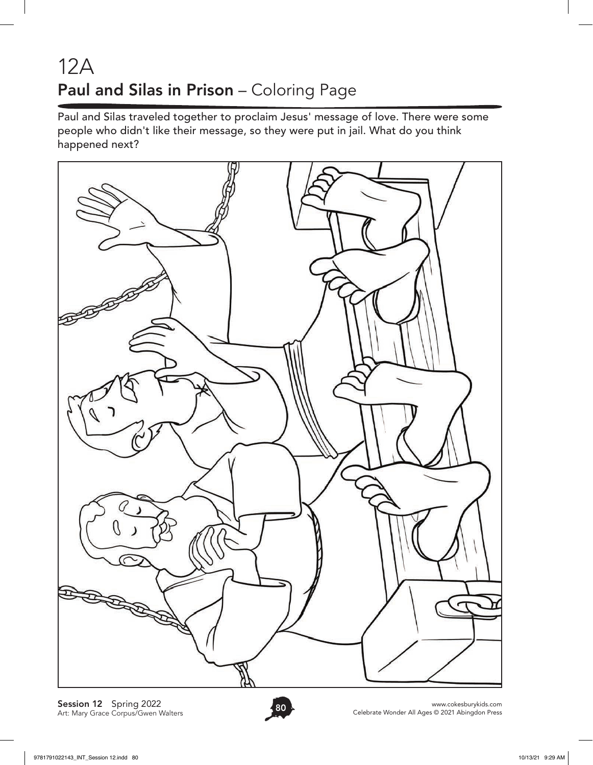## 12A Paul and Silas in Prison – Coloring Page

Paul and Silas traveled together to proclaim Jesus' message of love. There were some people who didn't like their message, so they were put in jail. What do you think happened next?



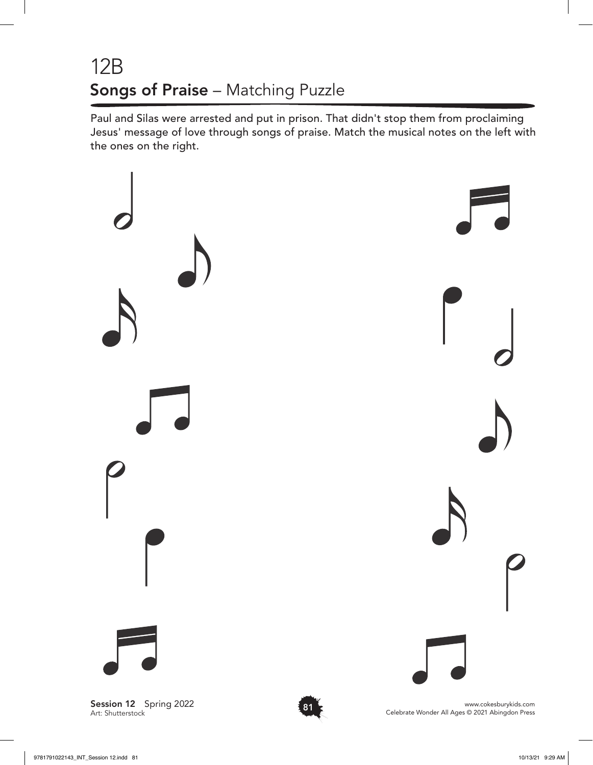## 12B Songs of Praise – Matching Puzzle

Paul and Silas were arrested and put in prison. That didn't stop them from proclaiming Jesus' message of love through songs of praise. Match the musical notes on the left with the ones on the right.



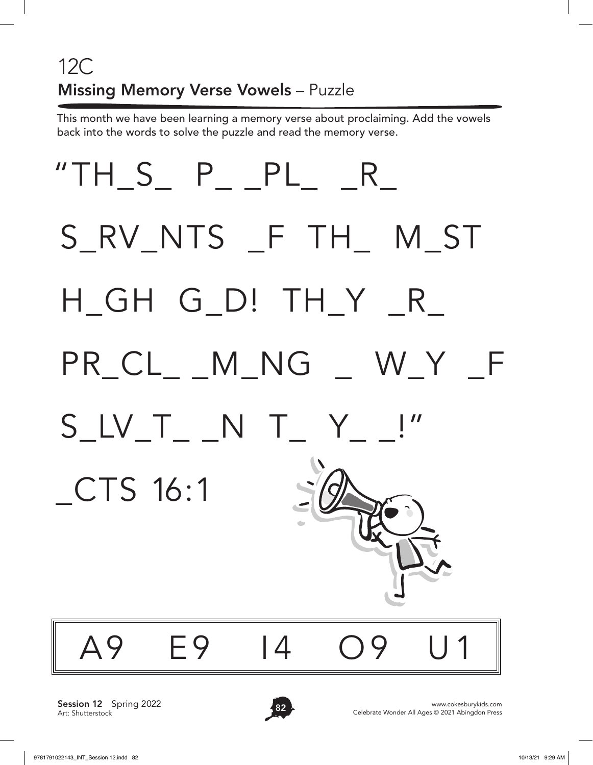# 12C Missing Memory Verse Vowels – Puzzle

This month we have been learning a memory verse about proclaiming. Add the vowels back into the words to solve the puzzle and read the memory verse.



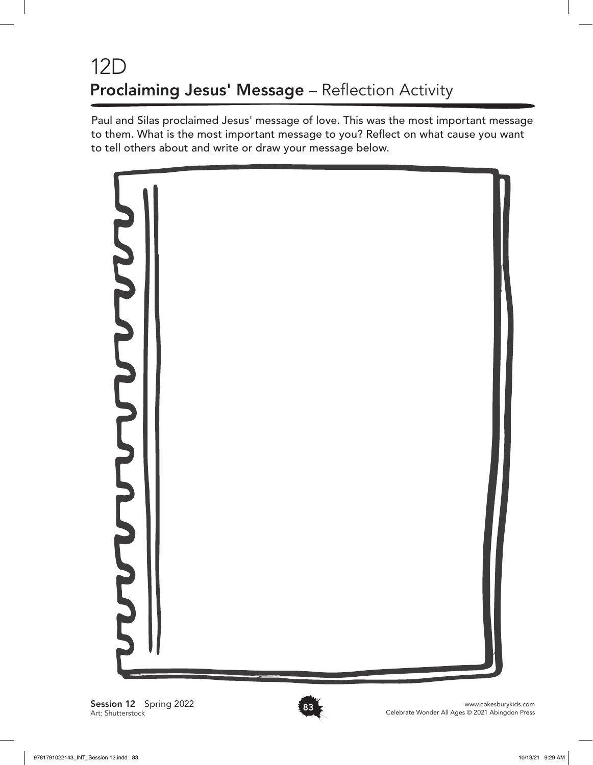## 12D Proclaiming Jesus' Message - Reflection Activity

Paul and Silas proclaimed Jesus' message of love. This was the most important message to them. What is the most important message to you? Reflect on what cause you want to tell others about and write or draw your message below.



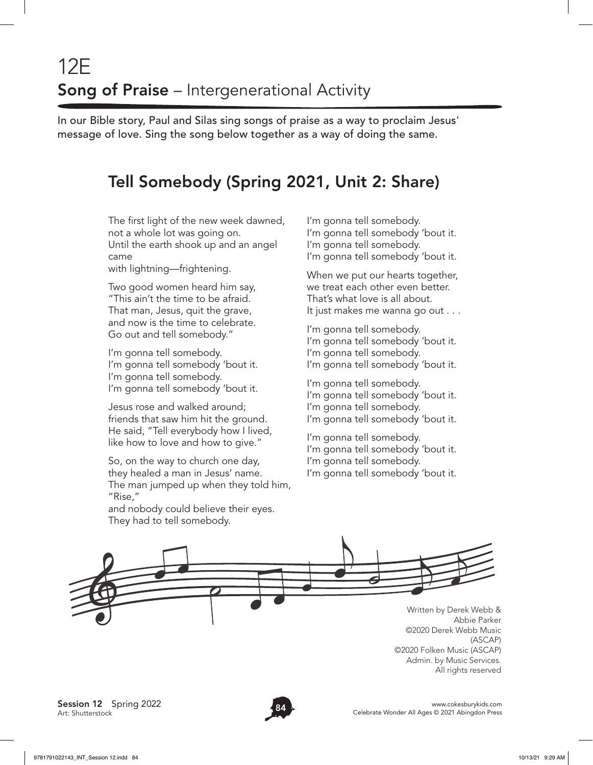## 12E Song of Praise - Intergenerational Activity

In our Bible story, Paul and Silas sing songs of praise as a way to proclaim Jesus' message of love. Sing the song below together as a way of doing the same.

## Tell Somebody (Spring 2021, Unit 2: Share)

The first light of the new week dawned, not a whole lot was going on. Until the earth shook up and an angel came

with lightning—frightening.

Two good women heard him say, "This ain't the time to be afraid. That man, Jesus, quit the grave, and now is the time to celebrate. Go out and tell somebody."

I'm gonna tell somebody. I'm gonna tell somebody 'bout it. I'm gonna tell somebody. I'm gonna tell somebody 'bout it.

Jesus rose and walked around; friends that saw him hit the ground. He said, "Tell everybody how I lived, like how to love and how to give."

So, on the way to church one day, they healed a man in Jesus' name. The man jumped up when they told him, "Rise,"

and nobody could believe their eyes. They had to tell somebody.

I'm gonna tell somebody. I'm gonna tell somebody 'bout it. I'm gonna tell somebody. I'm gonna tell somebody 'bout it.

When we put our hearts together, we treat each other even better. That's what love is all about. It just makes me wanna go out . . .

I'm gonna tell somebody. I'm gonna tell somebody 'bout it. I'm gonna tell somebody. I'm gonna tell somebody 'bout it.

I'm gonna tell somebody.

- I'm gonna tell somebody 'bout it.
- I'm gonna tell somebody.
- I'm gonna tell somebody 'bout it.

I'm gonna tell somebody. I'm gonna tell somebody 'bout it. I'm gonna tell somebody. I'm gonna tell somebody 'bout it.

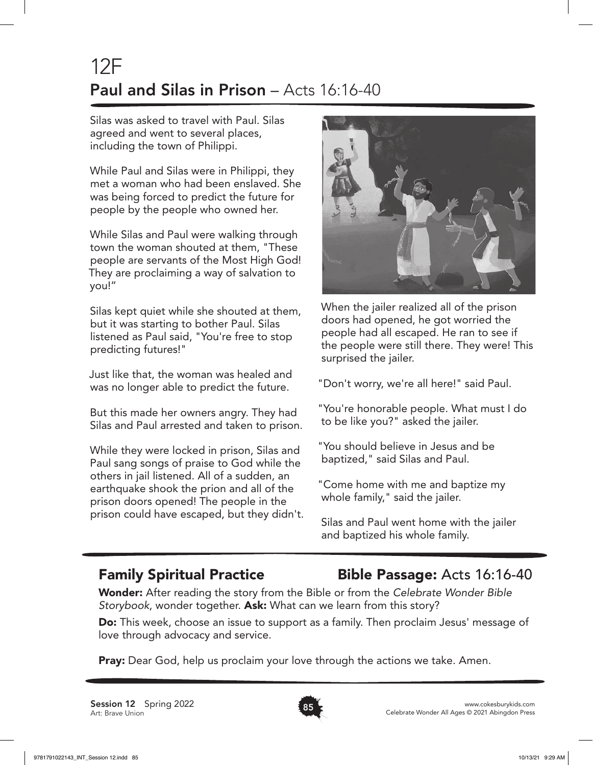## 12F Paul and Silas in Prison – Acts 16:16-40

Silas was asked to travel with Paul. Silas agreed and went to several places, including the town of Philippi.

While Paul and Silas were in Philippi, they met a woman who had been enslaved. She was being forced to predict the future for people by the people who owned her.

While Silas and Paul were walking through town the woman shouted at them, "These people are servants of the Most High God! They are proclaiming a way of salvation to you!"

Silas kept quiet while she shouted at them, but it was starting to bother Paul. Silas listened as Paul said, "You're free to stop predicting futures!"

Just like that, the woman was healed and was no longer able to predict the future.

But this made her owners angry. They had Silas and Paul arrested and taken to prison.

While they were locked in prison, Silas and Paul sang songs of praise to God while the others in jail listened. All of a sudden, an earthquake shook the prion and all of the prison doors opened! The people in the prison could have escaped, but they didn't.



When the jailer realized all of the prison doors had opened, he got worried the people had all escaped. He ran to see if the people were still there. They were! This surprised the jailer.

"Don't worry, we're all here!" said Paul.

"You're honorable people. What must I do to be like you?" asked the jailer.

"You should believe in Jesus and be baptized," said Silas and Paul.

"Come home with me and baptize my whole family," said the jailer.

Silas and Paul went home with the jailer and baptized his whole family.

### Family Spiritual Practice Bible Passage: Acts 16:16-40

Wonder: After reading the story from the Bible or from the *Celebrate Wonder Bible Storybook*, wonder together. Ask: What can we learn from this story?

Do: This week, choose an issue to support as a family. Then proclaim Jesus' message of love through advocacy and service.

**Pray:** Dear God, help us proclaim your love through the actions we take. Amen.